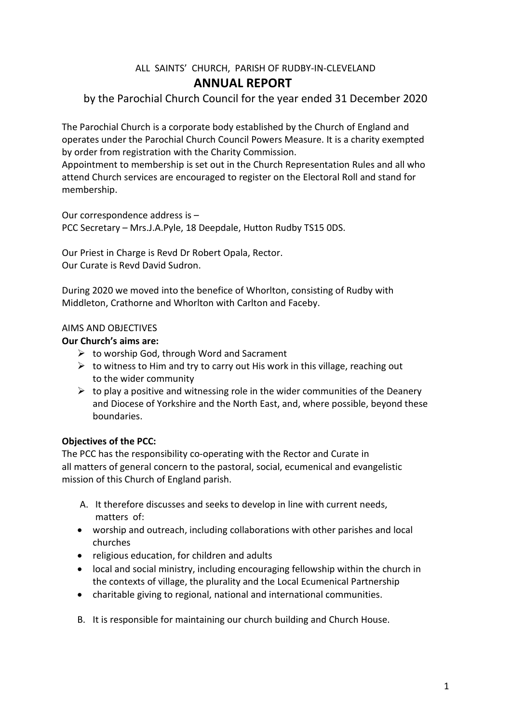## ALL SAINTS' CHURCH, PARISH OF RUDBY-IN-CLEVELAND **ANNUAL REPORT**

by the Parochial Church Council for the year ended 31 December 2020

The Parochial Church is a corporate body established by the Church of England and operates under the Parochial Church Council Powers Measure. It is a charity exempted by order from registration with the Charity Commission.

Appointment to membership is set out in the Church Representation Rules and all who attend Church services are encouraged to register on the Electoral Roll and stand for membership.

Our correspondence address is – PCC Secretary – Mrs.J.A.Pyle, 18 Deepdale, Hutton Rudby TS15 0DS.

Our Priest in Charge is Revd Dr Robert Opala, Rector. Our Curate is Revd David Sudron.

During 2020 we moved into the benefice of Whorlton, consisting of Rudby with Middleton, Crathorne and Whorlton with Carlton and Faceby.

## AIMS AND OBJECTIVES

## **Our Church's aims are:**

- $\triangleright$  to worship God, through Word and Sacrament
- $\triangleright$  to witness to Him and try to carry out His work in this village, reaching out to the wider community
- $\triangleright$  to play a positive and witnessing role in the wider communities of the Deanery and Diocese of Yorkshire and the North East, and, where possible, beyond these boundaries.

## **Objectives of the PCC:**

The PCC has the responsibility co-operating with the Rector and Curate in all matters of general concern to the pastoral, social, ecumenical and evangelistic mission of this Church of England parish.

- A. It therefore discusses and seeks to develop in line with current needs, matters of:
- worship and outreach, including collaborations with other parishes and local churches
- religious education, for children and adults
- local and social ministry, including encouraging fellowship within the church in the contexts of village, the plurality and the Local Ecumenical Partnership
- charitable giving to regional, national and international communities.
- B. It is responsible for maintaining our church building and Church House.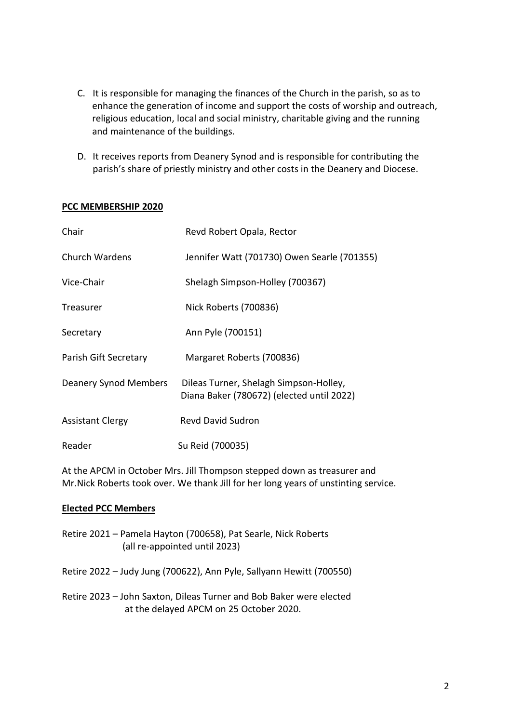- C. It is responsible for managing the finances of the Church in the parish, so as to enhance the generation of income and support the costs of worship and outreach, religious education, local and social ministry, charitable giving and the running and maintenance of the buildings.
- D. It receives reports from Deanery Synod and is responsible for contributing the parish's share of priestly ministry and other costs in the Deanery and Diocese.

### **PCC MEMBERSHIP 2020**

| Chair                        | Revd Robert Opala, Rector                                                           |
|------------------------------|-------------------------------------------------------------------------------------|
| Church Wardens               | Jennifer Watt (701730) Owen Searle (701355)                                         |
| Vice-Chair                   | Shelagh Simpson-Holley (700367)                                                     |
| Treasurer                    | Nick Roberts (700836)                                                               |
| Secretary                    | Ann Pyle (700151)                                                                   |
| Parish Gift Secretary        | Margaret Roberts (700836)                                                           |
| <b>Deanery Synod Members</b> | Dileas Turner, Shelagh Simpson-Holley,<br>Diana Baker (780672) (elected until 2022) |
| <b>Assistant Clergy</b>      | <b>Revd David Sudron</b>                                                            |
| Reader                       | Su Reid (700035)                                                                    |

At the APCM in October Mrs. Jill Thompson stepped down as treasurer and Mr.Nick Roberts took over. We thank Jill for her long years of unstinting service.

### **Elected PCC Members**

- Retire 2021 Pamela Hayton (700658), Pat Searle, Nick Roberts (all re-appointed until 2023)
- Retire 2022 Judy Jung (700622), Ann Pyle, Sallyann Hewitt (700550)
- Retire 2023 John Saxton, Dileas Turner and Bob Baker were elected at the delayed APCM on 25 October 2020.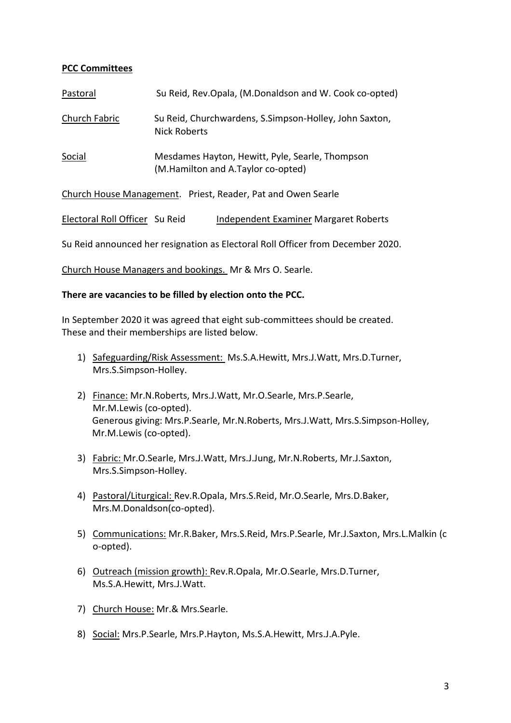## **PCC Committees**

| Pastoral      | Su Reid, Rev.Opala, (M.Donaldson and W. Cook co-opted)                                |
|---------------|---------------------------------------------------------------------------------------|
| Church Fabric | Su Reid, Churchwardens, S.Simpson-Holley, John Saxton,<br>Nick Roberts                |
| Social        | Mesdames Hayton, Hewitt, Pyle, Searle, Thompson<br>(M.Hamilton and A.Taylor co-opted) |
|               | Church House Management. Priest, Reader, Pat and Owen Searle                          |

Electoral Roll Officer Su Reid Independent Examiner Margaret Roberts

Su Reid announced her resignation as Electoral Roll Officer from December 2020.

Church House Managers and bookings. Mr & Mrs O. Searle.

### **There are vacancies to be filled by election onto the PCC.**

In September 2020 it was agreed that eight sub-committees should be created. These and their memberships are listed below.

- 1) Safeguarding/Risk Assessment: Ms.S.A.Hewitt, Mrs.J.Watt, Mrs.D.Turner, Mrs.S.Simpson-Holley.
- 2) Finance: Mr.N.Roberts, Mrs.J.Watt, Mr.O.Searle, Mrs.P.Searle, Mr.M.Lewis (co-opted). Generous giving: Mrs.P.Searle, Mr.N.Roberts, Mrs.J.Watt, Mrs.S.Simpson-Holley, Mr.M.Lewis (co-opted).
- 3) Fabric: Mr.O.Searle, Mrs.J.Watt, Mrs.J.Jung, Mr.N.Roberts, Mr.J.Saxton, Mrs.S.Simpson-Holley.
- 4) Pastoral/Liturgical: Rev.R.Opala, Mrs.S.Reid, Mr.O.Searle, Mrs.D.Baker, Mrs.M.Donaldson(co-opted).
- 5) Communications: Mr.R.Baker, Mrs.S.Reid, Mrs.P.Searle, Mr.J.Saxton, Mrs.L.Malkin (c o-opted).
- 6) Outreach (mission growth): Rev.R.Opala, Mr.O.Searle, Mrs.D.Turner, Ms.S.A.Hewitt, Mrs.J.Watt.
- 7) Church House: Mr.& Mrs.Searle.
- 8) Social: Mrs.P.Searle, Mrs.P.Hayton, Ms.S.A.Hewitt, Mrs.J.A.Pyle.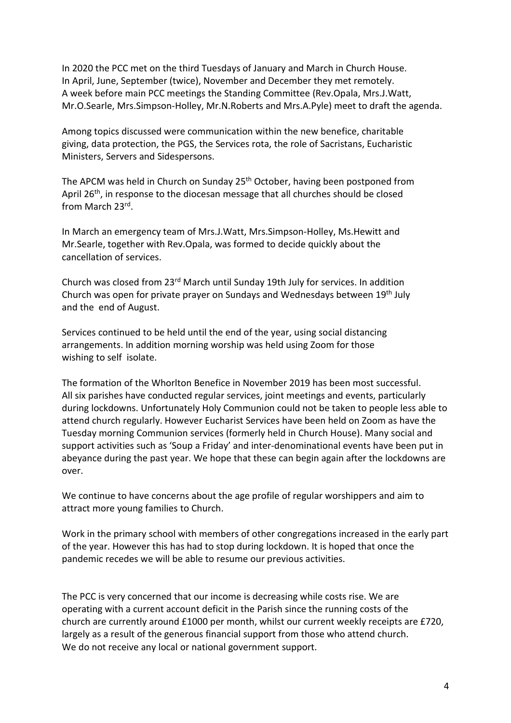In 2020 the PCC met on the third Tuesdays of January and March in Church House. In April, June, September (twice), November and December they met remotely. A week before main PCC meetings the Standing Committee (Rev.Opala, Mrs.J.Watt, Mr.O.Searle, Mrs.Simpson-Holley, Mr.N.Roberts and Mrs.A.Pyle) meet to draft the agenda.

Among topics discussed were communication within the new benefice, charitable giving, data protection, the PGS, the Services rota, the role of Sacristans, Eucharistic Ministers, Servers and Sidespersons.

The APCM was held in Church on Sunday 25<sup>th</sup> October, having been postponed from April 26<sup>th</sup>, in response to the diocesan message that all churches should be closed from March 23rd .

In March an emergency team of Mrs.J.Watt, Mrs.Simpson-Holley, Ms.Hewitt and Mr.Searle, together with Rev.Opala, was formed to decide quickly about the cancellation of services.

Church was closed from 23rd March until Sunday 19th July for services. In addition Church was open for private prayer on Sundays and Wednesdays between 19th July and the end of August.

Services continued to be held until the end of the year, using social distancing arrangements. In addition morning worship was held using Zoom for those wishing to self isolate.

The formation of the Whorlton Benefice in November 2019 has been most successful. All six parishes have conducted regular services, joint meetings and events, particularly during lockdowns. Unfortunately Holy Communion could not be taken to people less able to attend church regularly. However Eucharist Services have been held on Zoom as have the Tuesday morning Communion services (formerly held in Church House). Many social and support activities such as 'Soup a Friday' and inter-denominational events have been put in abeyance during the past year. We hope that these can begin again after the lockdowns are over.

We continue to have concerns about the age profile of regular worshippers and aim to attract more young families to Church.

Work in the primary school with members of other congregations increased in the early part of the year. However this has had to stop during lockdown. It is hoped that once the pandemic recedes we will be able to resume our previous activities.

The PCC is very concerned that our income is decreasing while costs rise. We are operating with a current account deficit in the Parish since the running costs of the church are currently around £1000 per month, whilst our current weekly receipts are £720, largely as a result of the generous financial support from those who attend church. We do not receive any local or national government support.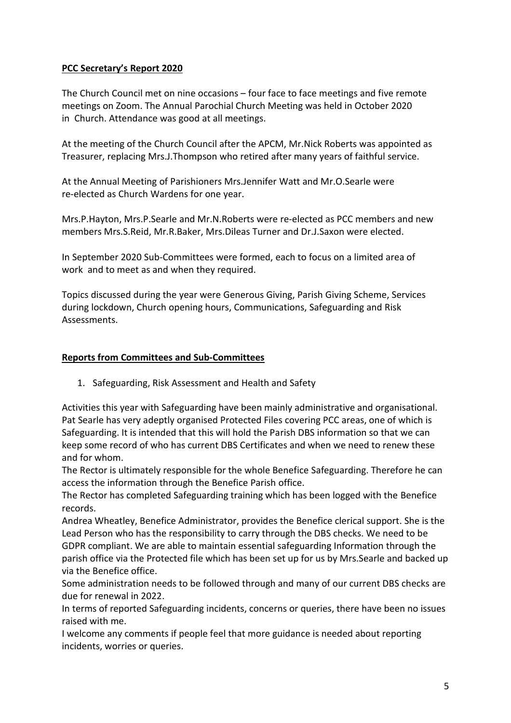## **PCC Secretary's Report 2020**

The Church Council met on nine occasions – four face to face meetings and five remote meetings on Zoom. The Annual Parochial Church Meeting was held in October 2020 in Church. Attendance was good at all meetings.

At the meeting of the Church Council after the APCM, Mr.Nick Roberts was appointed as Treasurer, replacing Mrs.J.Thompson who retired after many years of faithful service.

At the Annual Meeting of Parishioners Mrs.Jennifer Watt and Mr.O.Searle were re-elected as Church Wardens for one year.

Mrs.P.Hayton, Mrs.P.Searle and Mr.N.Roberts were re-elected as PCC members and new members Mrs.S.Reid, Mr.R.Baker, Mrs.Dileas Turner and Dr.J.Saxon were elected.

In September 2020 Sub-Committees were formed, each to focus on a limited area of work and to meet as and when they required.

Topics discussed during the year were Generous Giving, Parish Giving Scheme, Services during lockdown, Church opening hours, Communications, Safeguarding and Risk Assessments.

### **Reports from Committees and Sub-Committees**

1. Safeguarding, Risk Assessment and Health and Safety

Activities this year with Safeguarding have been mainly administrative and organisational. Pat Searle has very adeptly organised Protected Files covering PCC areas, one of which is Safeguarding. It is intended that this will hold the Parish DBS information so that we can keep some record of who has current DBS Certificates and when we need to renew these and for whom.

The Rector is ultimately responsible for the whole Benefice Safeguarding. Therefore he can access the information through the Benefice Parish office.

The Rector has completed Safeguarding training which has been logged with the Benefice records.

Andrea Wheatley, Benefice Administrator, provides the Benefice clerical support. She is the Lead Person who has the responsibility to carry through the DBS checks. We need to be GDPR compliant. We are able to maintain essential safeguarding Information through the parish office via the Protected file which has been set up for us by Mrs.Searle and backed up via the Benefice office.

Some administration needs to be followed through and many of our current DBS checks are due for renewal in 2022.

In terms of reported Safeguarding incidents, concerns or queries, there have been no issues raised with me.

I welcome any comments if people feel that more guidance is needed about reporting incidents, worries or queries.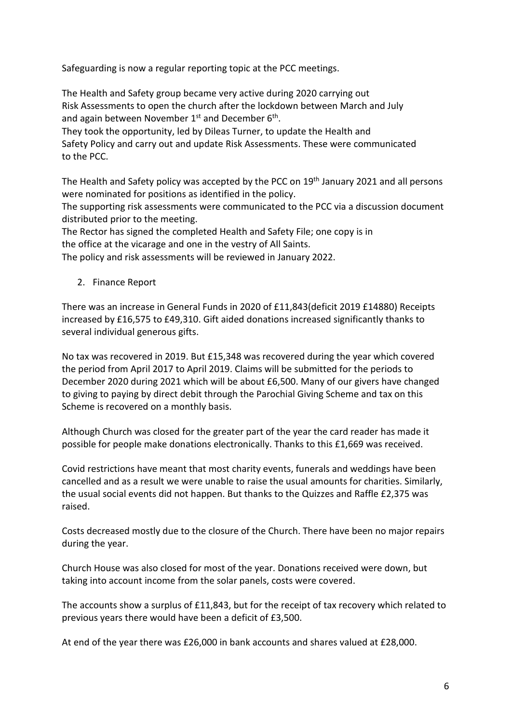Safeguarding is now a regular reporting topic at the PCC meetings.

The Health and Safety group became very active during 2020 carrying out Risk Assessments to open the church after the lockdown between March and July and again between November  $1^\text{st}$  and December 6<sup>th</sup>. They took the opportunity, led by Dileas Turner, to update the Health and Safety Policy and carry out and update Risk Assessments. These were communicated to the PCC.

The Health and Safety policy was accepted by the PCC on 19<sup>th</sup> January 2021 and all persons were nominated for positions as identified in the policy.

The supporting risk assessments were communicated to the PCC via a discussion document distributed prior to the meeting.

The Rector has signed the completed Health and Safety File; one copy is in the office at the vicarage and one in the vestry of All Saints.

The policy and risk assessments will be reviewed in January 2022.

2. Finance Report

There was an increase in General Funds in 2020 of £11,843(deficit 2019 £14880) Receipts increased by £16,575 to £49,310. Gift aided donations increased significantly thanks to several individual generous gifts.

No tax was recovered in 2019. But £15,348 was recovered during the year which covered the period from April 2017 to April 2019. Claims will be submitted for the periods to December 2020 during 2021 which will be about £6,500. Many of our givers have changed to giving to paying by direct debit through the Parochial Giving Scheme and tax on this Scheme is recovered on a monthly basis.

Although Church was closed for the greater part of the year the card reader has made it possible for people make donations electronically. Thanks to this £1,669 was received.

Covid restrictions have meant that most charity events, funerals and weddings have been cancelled and as a result we were unable to raise the usual amounts for charities. Similarly, the usual social events did not happen. But thanks to the Quizzes and Raffle £2,375 was raised.

Costs decreased mostly due to the closure of the Church. There have been no major repairs during the year.

Church House was also closed for most of the year. Donations received were down, but taking into account income from the solar panels, costs were covered.

The accounts show a surplus of £11,843, but for the receipt of tax recovery which related to previous years there would have been a deficit of £3,500.

At end of the year there was £26,000 in bank accounts and shares valued at £28,000.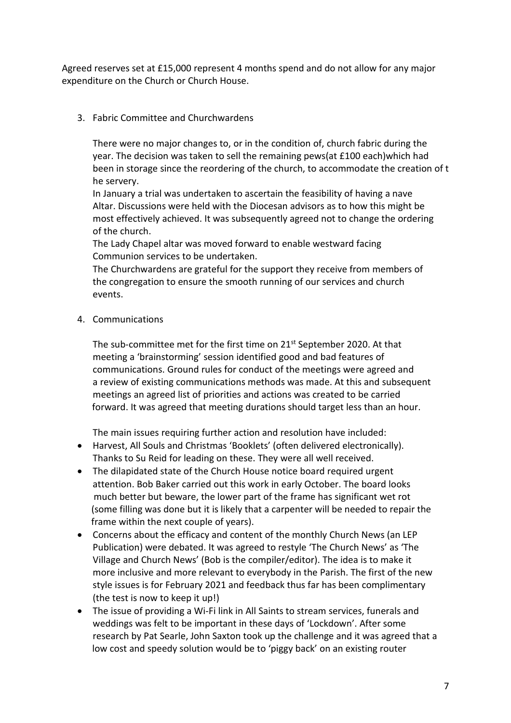Agreed reserves set at £15,000 represent 4 months spend and do not allow for any major expenditure on the Church or Church House.

3. Fabric Committee and Churchwardens

There were no major changes to, or in the condition of, church fabric during the year. The decision was taken to sell the remaining pews(at £100 each)which had been in storage since the reordering of the church, to accommodate the creation of t he servery.

In January a trial was undertaken to ascertain the feasibility of having a nave Altar. Discussions were held with the Diocesan advisors as to how this might be most effectively achieved. It was subsequently agreed not to change the ordering of the church.

The Lady Chapel altar was moved forward to enable westward facing Communion services to be undertaken.

The Churchwardens are grateful for the support they receive from members of the congregation to ensure the smooth running of our services and church events.

4. Communications

The sub-committee met for the first time on 21<sup>st</sup> September 2020. At that meeting a 'brainstorming' session identified good and bad features of communications. Ground rules for conduct of the meetings were agreed and a review of existing communications methods was made. At this and subsequent meetings an agreed list of priorities and actions was created to be carried forward. It was agreed that meeting durations should target less than an hour.

The main issues requiring further action and resolution have included:

- Harvest, All Souls and Christmas 'Booklets' (often delivered electronically). Thanks to Su Reid for leading on these. They were all well received.
- The dilapidated state of the Church House notice board required urgent attention. Bob Baker carried out this work in early October. The board looks much better but beware, the lower part of the frame has significant wet rot (some filling was done but it is likely that a carpenter will be needed to repair the frame within the next couple of years).
- Concerns about the efficacy and content of the monthly Church News (an LEP Publication) were debated. It was agreed to restyle 'The Church News' as 'The Village and Church News' (Bob is the compiler/editor). The idea is to make it more inclusive and more relevant to everybody in the Parish. The first of the new style issues is for February 2021 and feedback thus far has been complimentary (the test is now to keep it up!)
- The issue of providing a Wi-Fi link in All Saints to stream services, funerals and weddings was felt to be important in these days of 'Lockdown'. After some research by Pat Searle, John Saxton took up the challenge and it was agreed that a low cost and speedy solution would be to 'piggy back' on an existing router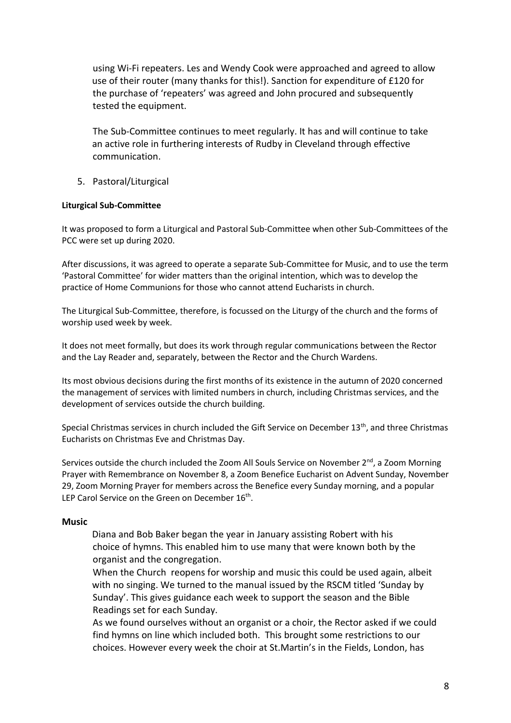using Wi-Fi repeaters. Les and Wendy Cook were approached and agreed to allow use of their router (many thanks for this!). Sanction for expenditure of £120 for the purchase of 'repeaters' was agreed and John procured and subsequently tested the equipment.

The Sub-Committee continues to meet regularly. It has and will continue to take an active role in furthering interests of Rudby in Cleveland through effective communication.

5. Pastoral/Liturgical

#### **Liturgical Sub-Committee**

It was proposed to form a Liturgical and Pastoral Sub-Committee when other Sub-Committees of the PCC were set up during 2020.

After discussions, it was agreed to operate a separate Sub-Committee for Music, and to use the term 'Pastoral Committee' for wider matters than the original intention, which was to develop the practice of Home Communions for those who cannot attend Eucharists in church.

The Liturgical Sub-Committee, therefore, is focussed on the Liturgy of the church and the forms of worship used week by week.

It does not meet formally, but does its work through regular communications between the Rector and the Lay Reader and, separately, between the Rector and the Church Wardens.

Its most obvious decisions during the first months of its existence in the autumn of 2020 concerned the management of services with limited numbers in church, including Christmas services, and the development of services outside the church building.

Special Christmas services in church included the Gift Service on December 13<sup>th</sup>, and three Christmas Eucharists on Christmas Eve and Christmas Day.

Services outside the church included the Zoom All Souls Service on November  $2<sup>nd</sup>$ , a Zoom Morning Prayer with Remembrance on November 8, a Zoom Benefice Eucharist on Advent Sunday, November 29, Zoom Morning Prayer for members across the Benefice every Sunday morning, and a popular LEP Carol Service on the Green on December  $16^{th}$ .

#### **Music**

 Diana and Bob Baker began the year in January assisting Robert with his choice of hymns. This enabled him to use many that were known both by the organist and the congregation.

When the Church reopens for worship and music this could be used again, albeit with no singing. We turned to the manual issued by the RSCM titled 'Sunday by Sunday'. This gives guidance each week to support the season and the Bible Readings set for each Sunday.

As we found ourselves without an organist or a choir, the Rector asked if we could find hymns on line which included both. This brought some restrictions to our choices. However every week the choir at St.Martin's in the Fields, London, has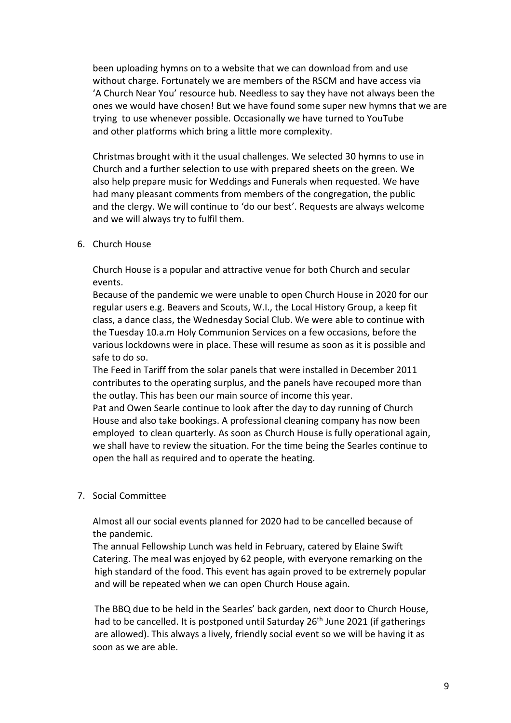been uploading hymns on to a website that we can download from and use without charge. Fortunately we are members of the RSCM and have access via 'A Church Near You' resource hub. Needless to say they have not always been the ones we would have chosen! But we have found some super new hymns that we are trying to use whenever possible. Occasionally we have turned to YouTube and other platforms which bring a little more complexity.

Christmas brought with it the usual challenges. We selected 30 hymns to use in Church and a further selection to use with prepared sheets on the green. We also help prepare music for Weddings and Funerals when requested. We have had many pleasant comments from members of the congregation, the public and the clergy. We will continue to 'do our best'. Requests are always welcome and we will always try to fulfil them.

6. Church House

Church House is a popular and attractive venue for both Church and secular events.

Because of the pandemic we were unable to open Church House in 2020 for our regular users e.g. Beavers and Scouts, W.I., the Local History Group, a keep fit class, a dance class, the Wednesday Social Club. We were able to continue with the Tuesday 10.a.m Holy Communion Services on a few occasions, before the various lockdowns were in place. These will resume as soon as it is possible and safe to do so.

The Feed in Tariff from the solar panels that were installed in December 2011 contributes to the operating surplus, and the panels have recouped more than the outlay. This has been our main source of income this year.

Pat and Owen Searle continue to look after the day to day running of Church House and also take bookings. A professional cleaning company has now been employed to clean quarterly. As soon as Church House is fully operational again, we shall have to review the situation. For the time being the Searles continue to open the hall as required and to operate the heating.

### 7. Social Committee

Almost all our social events planned for 2020 had to be cancelled because of the pandemic.

The annual Fellowship Lunch was held in February, catered by Elaine Swift Catering. The meal was enjoyed by 62 people, with everyone remarking on the high standard of the food. This event has again proved to be extremely popular and will be repeated when we can open Church House again.

 The BBQ due to be held in the Searles' back garden, next door to Church House, had to be cancelled. It is postponed until Saturday 26<sup>th</sup> June 2021 (if gatherings are allowed). This always a lively, friendly social event so we will be having it as soon as we are able.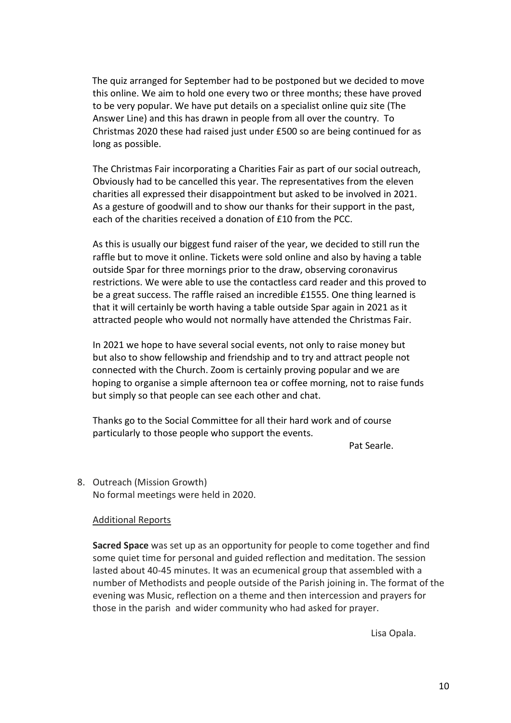The quiz arranged for September had to be postponed but we decided to move this online. We aim to hold one every two or three months; these have proved to be very popular. We have put details on a specialist online quiz site (The Answer Line) and this has drawn in people from all over the country. To Christmas 2020 these had raised just under £500 so are being continued for as long as possible.

The Christmas Fair incorporating a Charities Fair as part of our social outreach, Obviously had to be cancelled this year. The representatives from the eleven charities all expressed their disappointment but asked to be involved in 2021. As a gesture of goodwill and to show our thanks for their support in the past, each of the charities received a donation of £10 from the PCC.

As this is usually our biggest fund raiser of the year, we decided to still run the raffle but to move it online. Tickets were sold online and also by having a table outside Spar for three mornings prior to the draw, observing coronavirus restrictions. We were able to use the contactless card reader and this proved to be a great success. The raffle raised an incredible £1555. One thing learned is that it will certainly be worth having a table outside Spar again in 2021 as it attracted people who would not normally have attended the Christmas Fair.

In 2021 we hope to have several social events, not only to raise money but but also to show fellowship and friendship and to try and attract people not connected with the Church. Zoom is certainly proving popular and we are hoping to organise a simple afternoon tea or coffee morning, not to raise funds but simply so that people can see each other and chat.

Thanks go to the Social Committee for all their hard work and of course particularly to those people who support the events.

Pat Searle.

8. Outreach (Mission Growth) No formal meetings were held in 2020.

### Additional Reports

**Sacred Space** was set up as an opportunity for people to come together and find some quiet time for personal and guided reflection and meditation. The session lasted about 40-45 minutes. It was an ecumenical group that assembled with a number of Methodists and people outside of the Parish joining in. The format of the evening was Music, reflection on a theme and then intercession and prayers for those in the parish and wider community who had asked for prayer.

Lisa Opala.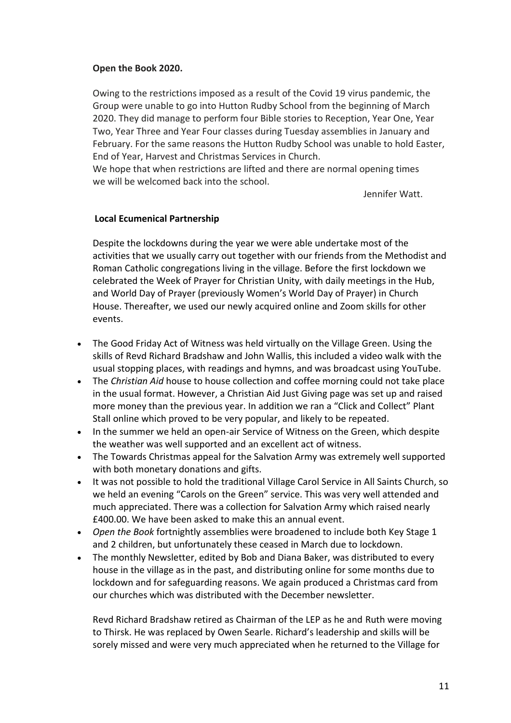### **Open the Book 2020.**

Owing to the restrictions imposed as a result of the Covid 19 virus pandemic, the Group were unable to go into Hutton Rudby School from the beginning of March 2020. They did manage to perform four Bible stories to Reception, Year One, Year Two, Year Three and Year Four classes during Tuesday assemblies in January and February. For the same reasons the Hutton Rudby School was unable to hold Easter, End of Year, Harvest and Christmas Services in Church.

We hope that when restrictions are lifted and there are normal opening times we will be welcomed back into the school.

Jennifer Watt.

### **Local Ecumenical Partnership**

Despite the lockdowns during the year we were able undertake most of the activities that we usually carry out together with our friends from the Methodist and Roman Catholic congregations living in the village. Before the first lockdown we celebrated the Week of Prayer for Christian Unity, with daily meetings in the Hub, and World Day of Prayer (previously Women's World Day of Prayer) in Church House. Thereafter, we used our newly acquired online and Zoom skills for other events.

- The Good Friday Act of Witness was held virtually on the Village Green. Using the skills of Revd Richard Bradshaw and John Wallis, this included a video walk with the usual stopping places, with readings and hymns, and was broadcast using YouTube.
- The *Christian Aid* house to house collection and coffee morning could not take place in the usual format. However, a Christian Aid Just Giving page was set up and raised more money than the previous year. In addition we ran a "Click and Collect" Plant Stall online which proved to be very popular, and likely to be repeated.
- In the summer we held an open-air Service of Witness on the Green, which despite the weather was well supported and an excellent act of witness.
- The Towards Christmas appeal for the Salvation Army was extremely well supported with both monetary donations and gifts.
- It was not possible to hold the traditional Village Carol Service in All Saints Church, so we held an evening "Carols on the Green" service. This was very well attended and much appreciated. There was a collection for Salvation Army which raised nearly £400.00. We have been asked to make this an annual event.
- *Open the Book* fortnightly assemblies were broadened to include both Key Stage 1 and 2 children, but unfortunately these ceased in March due to lockdown.
- The monthly Newsletter, edited by Bob and Diana Baker, was distributed to every house in the village as in the past, and distributing online for some months due to lockdown and for safeguarding reasons. We again produced a Christmas card from our churches which was distributed with the December newsletter.

Revd Richard Bradshaw retired as Chairman of the LEP as he and Ruth were moving to Thirsk. He was replaced by Owen Searle. Richard's leadership and skills will be sorely missed and were very much appreciated when he returned to the Village for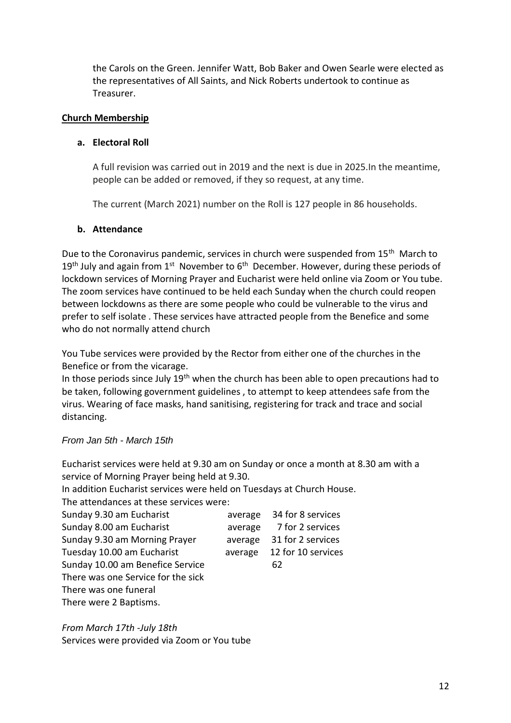the Carols on the Green. Jennifer Watt, Bob Baker and Owen Searle were elected as the representatives of All Saints, and Nick Roberts undertook to continue as Treasurer.

### **Church Membership**

### **a. Electoral Roll**

A full revision was carried out in 2019 and the next is due in 2025.In the meantime, people can be added or removed, if they so request, at any time.

The current (March 2021) number on the Roll is 127 people in 86 households.

### **b. Attendance**

Due to the Coronavirus pandemic, services in church were suspended from 15<sup>th</sup> March to  $19<sup>th</sup>$  July and again from  $1<sup>st</sup>$  November to  $6<sup>th</sup>$  December. However, during these periods of lockdown services of Morning Prayer and Eucharist were held online via Zoom or You tube. The zoom services have continued to be held each Sunday when the church could reopen between lockdowns as there are some people who could be vulnerable to the virus and prefer to self isolate . These services have attracted people from the Benefice and some who do not normally attend church

You Tube services were provided by the Rector from either one of the churches in the Benefice or from the vicarage.

In those periods since July 19<sup>th</sup> when the church has been able to open precautions had to be taken, following government guidelines , to attempt to keep attendees safe from the virus. Wearing of face masks, hand sanitising, registering for track and trace and social distancing.

### *From Jan 5th - March 15th*

Eucharist services were held at 9.30 am on Sunday or once a month at 8.30 am with a service of Morning Prayer being held at 9.30.

In addition Eucharist services were held on Tuesdays at Church House.

The attendances at these services were:

| Sunday 9.30 am Eucharist           | average | 34 for 8 services  |
|------------------------------------|---------|--------------------|
| Sunday 8.00 am Eucharist           | average | 7 for 2 services   |
| Sunday 9.30 am Morning Prayer      | average | 31 for 2 services  |
| Tuesday 10.00 am Eucharist         | average | 12 for 10 services |
| Sunday 10.00 am Benefice Service   |         | 62                 |
| There was one Service for the sick |         |                    |
| There was one funeral              |         |                    |
| There were 2 Baptisms.             |         |                    |

*From March 17th -July 18th* 

Services were provided via Zoom or You tube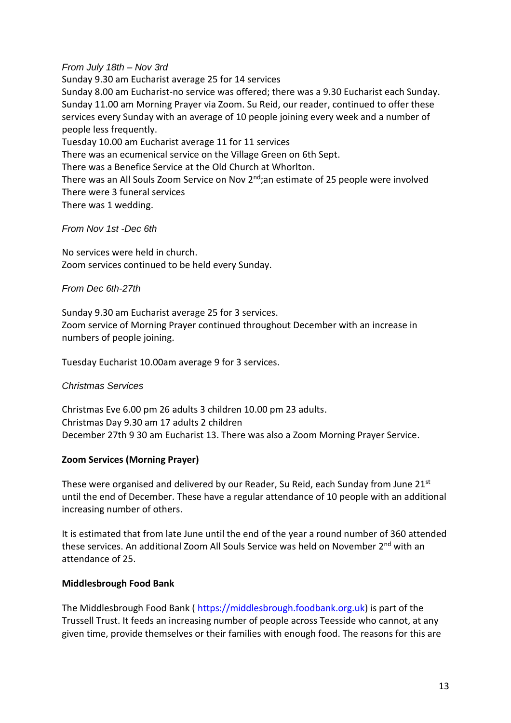### *From July 18th – Nov 3rd*

Sunday 9.30 am Eucharist average 25 for 14 services Sunday 8.00 am Eucharist-no service was offered; there was a 9.30 Eucharist each Sunday. Sunday 11.00 am Morning Prayer via Zoom. Su Reid, our reader, continued to offer these services every Sunday with an average of 10 people joining every week and a number of people less frequently. Tuesday 10.00 am Eucharist average 11 for 11 services There was an ecumenical service on the Village Green on 6th Sept. There was a Benefice Service at the Old Church at Whorlton. There was an All Souls Zoom Service on Nov 2<sup>nd</sup>;an estimate of 25 people were involved There were 3 funeral services

There was 1 wedding.

### *From Nov 1st -Dec 6th*

No services were held in church. Zoom services continued to be held every Sunday.

### *From Dec 6th-27th*

Sunday 9.30 am Eucharist average 25 for 3 services. Zoom service of Morning Prayer continued throughout December with an increase in numbers of people joining.

Tuesday Eucharist 10.00am average 9 for 3 services.

### *Christmas Services*

Christmas Eve 6.00 pm 26 adults 3 children 10.00 pm 23 adults. Christmas Day 9.30 am 17 adults 2 children December 27th 9 30 am Eucharist 13. There was also a Zoom Morning Prayer Service.

### **Zoom Services (Morning Prayer)**

These were organised and delivered by our Reader, Su Reid, each Sunday from June 21st until the end of December. These have a regular attendance of 10 people with an additional increasing number of others.

It is estimated that from late June until the end of the year a round number of 360 attended these services. An additional Zoom All Souls Service was held on November 2<sup>nd</sup> with an attendance of 25.

### **Middlesbrough Food Bank**

The Middlesbrough Food Bank ( https://middlesbrough.foodbank.org.uk) is part of the Trussell Trust. It feeds an increasing number of people across Teesside who cannot, at any given time, provide themselves or their families with enough food. The reasons for this are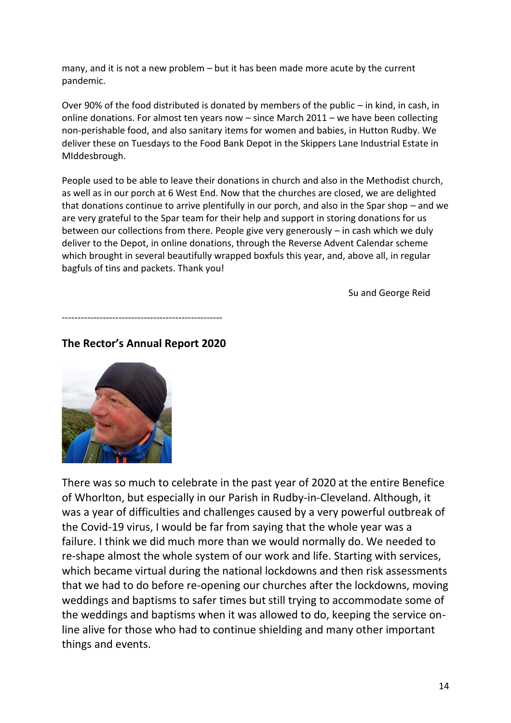many, and it is not a new problem – but it has been made more acute by the current pandemic.

Over 90% of the food distributed is donated by members of the public – in kind, in cash, in online donations. For almost ten years now – since March 2011 – we have been collecting non-perishable food, and also sanitary items for women and babies, in Hutton Rudby. We deliver these on Tuesdays to the Food Bank Depot in the Skippers Lane Industrial Estate in MIddesbrough.

People used to be able to leave their donations in church and also in the Methodist church, as well as in our porch at 6 West End. Now that the churches are closed, we are delighted that donations continue to arrive plentifully in our porch, and also in the Spar shop – and we are very grateful to the Spar team for their help and support in storing donations for us between our collections from there. People give very generously – in cash which we duly deliver to the Depot, in online donations, through the Reverse Advent Calendar scheme which brought in several beautifully wrapped boxfuls this year, and, above all, in regular bagfuls of tins and packets. Thank you!

Su and George Reid

---------------------------------------------------

# **The Rector's Annual Report 2020**



There was so much to celebrate in the past year of 2020 at the entire Benefice of Whorlton, but especially in our Parish in Rudby-in-Cleveland. Although, it was a year of difficulties and challenges caused by a very powerful outbreak of the Covid-19 virus, I would be far from saying that the whole year was a failure. I think we did much more than we would normally do. We needed to re-shape almost the whole system of our work and life. Starting with services, which became virtual during the national lockdowns and then risk assessments that we had to do before re-opening our churches after the lockdowns, moving weddings and baptisms to safer times but still trying to accommodate some of the weddings and baptisms when it was allowed to do, keeping the service online alive for those who had to continue shielding and many other important things and events.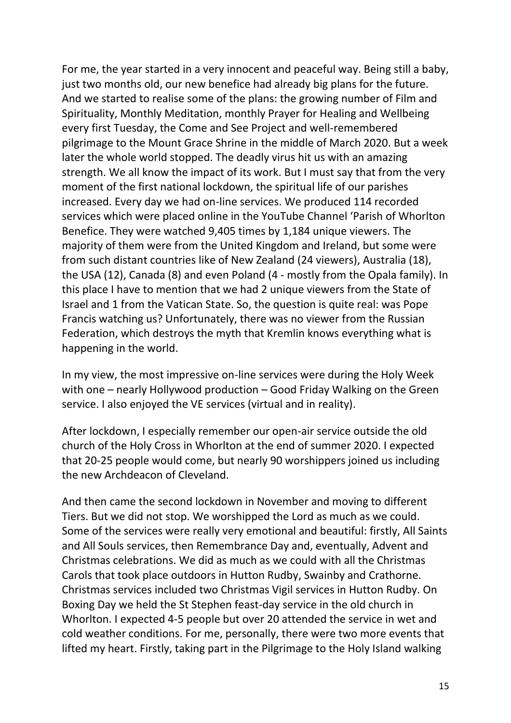For me, the year started in a very innocent and peaceful way. Being still a baby, just two months old, our new benefice had already big plans for the future. And we started to realise some of the plans: the growing number of Film and Spirituality, Monthly Meditation, monthly Prayer for Healing and Wellbeing every first Tuesday, the Come and See Project and well-remembered pilgrimage to the Mount Grace Shrine in the middle of March 2020. But a week later the whole world stopped. The deadly virus hit us with an amazing strength. We all know the impact of its work. But I must say that from the very moment of the first national lockdown, the spiritual life of our parishes increased. Every day we had on-line services. We produced 114 recorded services which were placed online in the YouTube Channel 'Parish of Whorlton Benefice. They were watched 9,405 times by 1,184 unique viewers. The majority of them were from the United Kingdom and Ireland, but some were from such distant countries like of New Zealand (24 viewers), Australia (18), the USA (12), Canada (8) and even Poland (4 - mostly from the Opala family). In this place I have to mention that we had 2 unique viewers from the State of Israel and 1 from the Vatican State. So, the question is quite real: was Pope Francis watching us? Unfortunately, there was no viewer from the Russian Federation, which destroys the myth that Kremlin knows everything what is happening in the world.

In my view, the most impressive on-line services were during the Holy Week with one – nearly Hollywood production – Good Friday Walking on the Green service. I also enjoyed the VE services (virtual and in reality).

After lockdown, I especially remember our open-air service outside the old church of the Holy Cross in Whorlton at the end of summer 2020. I expected that 20-25 people would come, but nearly 90 worshippers joined us including the new Archdeacon of Cleveland.

And then came the second lockdown in November and moving to different Tiers. But we did not stop. We worshipped the Lord as much as we could. Some of the services were really very emotional and beautiful: firstly, All Saints and All Souls services, then Remembrance Day and, eventually, Advent and Christmas celebrations. We did as much as we could with all the Christmas Carols that took place outdoors in Hutton Rudby, Swainby and Crathorne. Christmas services included two Christmas Vigil services in Hutton Rudby. On Boxing Day we held the St Stephen feast-day service in the old church in Whorlton. I expected 4-5 people but over 20 attended the service in wet and cold weather conditions. For me, personally, there were two more events that lifted my heart. Firstly, taking part in the Pilgrimage to the Holy Island walking